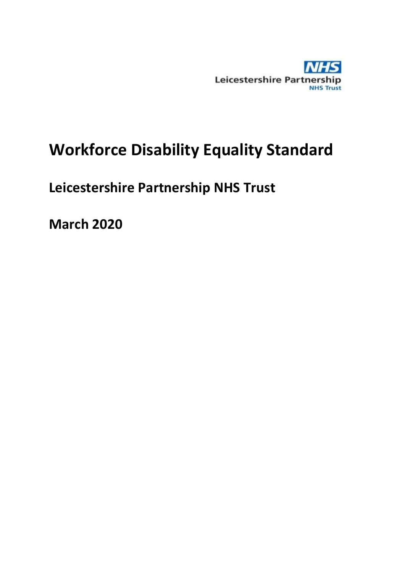

# **Workforce Disability Equality Standard**

## **Leicestershire Partnership NHS Trust**

**March 2020**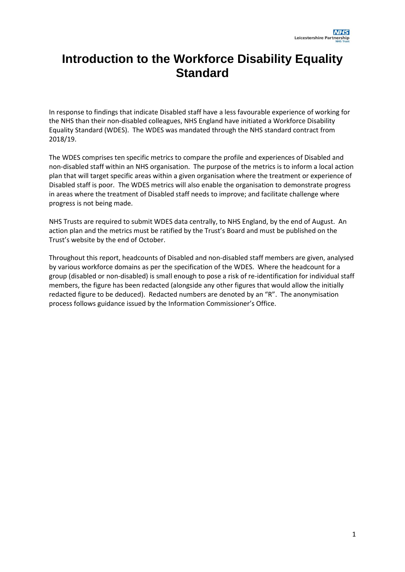## **Introduction to the Workforce Disability Equality Standard**

In response to findings that indicate Disabled staff have a less favourable experience of working for the NHS than their non-disabled colleagues, NHS England have initiated a Workforce Disability Equality Standard (WDES). The WDES was mandated through the NHS standard contract from 2018/19.

The WDES comprises ten specific metrics to compare the profile and experiences of Disabled and non-disabled staff within an NHS organisation. The purpose of the metrics is to inform a local action plan that will target specific areas within a given organisation where the treatment or experience of Disabled staff is poor. The WDES metrics will also enable the organisation to demonstrate progress in areas where the treatment of Disabled staff needs to improve; and facilitate challenge where progress is not being made.

NHS Trusts are required to submit WDES data centrally, to NHS England, by the end of August. An action plan and the metrics must be ratified by the Trust's Board and must be published on the Trust's website by the end of October.

Throughout this report, headcounts of Disabled and non-disabled staff members are given, analysed by various workforce domains as per the specification of the WDES. Where the headcount for a group (disabled or non-disabled) is small enough to pose a risk of re-identification for individual staff members, the figure has been redacted (alongside any other figures that would allow the initially redacted figure to be deduced). Redacted numbers are denoted by an "R". The anonymisation process follows guidance issued by the Information Commissioner's Office.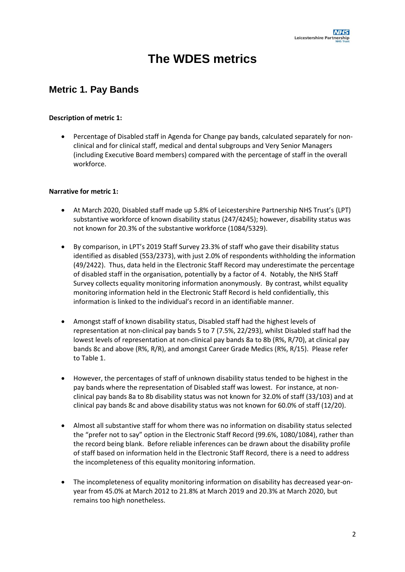## **The WDES metrics**

## **Metric 1. Pay Bands**

#### **Description of metric 1:**

 Percentage of Disabled staff in Agenda for Change pay bands, calculated separately for nonclinical and for clinical staff, medical and dental subgroups and Very Senior Managers (including Executive Board members) compared with the percentage of staff in the overall workforce.

#### **Narrative for metric 1:**

- At March 2020, Disabled staff made up 5.8% of Leicestershire Partnership NHS Trust's (LPT) substantive workforce of known disability status (247/4245); however, disability status was not known for 20.3% of the substantive workforce (1084/5329).
- By comparison, in LPT's 2019 Staff Survey 23.3% of staff who gave their disability status identified as disabled (553/2373), with just 2.0% of respondents withholding the information (49/2422). Thus, data held in the Electronic Staff Record may underestimate the percentage of disabled staff in the organisation, potentially by a factor of 4. Notably, the NHS Staff Survey collects equality monitoring information anonymously. By contrast, whilst equality monitoring information held in the Electronic Staff Record is held confidentially, this information is linked to the individual's record in an identifiable manner.
- Amongst staff of known disability status, Disabled staff had the highest levels of representation at non-clinical pay bands 5 to 7 (7.5%, 22/293), whilst Disabled staff had the lowest levels of representation at non-clinical pay bands 8a to 8b (R%, R/70), at clinical pay bands 8c and above (R%, R/R), and amongst Career Grade Medics (R%, R/15). Please refer to [Table 1.](#page-3-0)
- However, the percentages of staff of unknown disability status tended to be highest in the pay bands where the representation of Disabled staff was lowest. For instance, at nonclinical pay bands 8a to 8b disability status was not known for 32.0% of staff (33/103) and at clinical pay bands 8c and above disability status was not known for 60.0% of staff (12/20).
- Almost all substantive staff for whom there was no information on disability status selected the "prefer not to say" option in the Electronic Staff Record (99.6%, 1080/1084), rather than the record being blank. Before reliable inferences can be drawn about the disability profile of staff based on information held in the Electronic Staff Record, there is a need to address the incompleteness of this equality monitoring information.
- The incompleteness of equality monitoring information on disability has decreased year-onyear from 45.0% at March 2012 to 21.8% at March 2019 and 20.3% at March 2020, but remains too high nonetheless.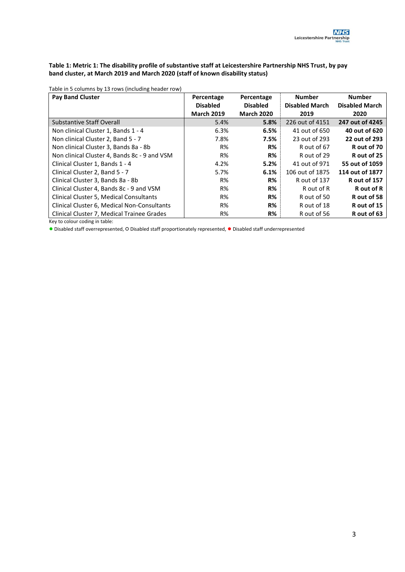#### <span id="page-3-0"></span>**Table 1: Metric 1: The disability profile of substantive staff at Leicestershire Partnership NHS Trust, by pay band cluster, at March 2019 and March 2020 (staff of known disability status)**

Table in 5 columns by 13 rows (including header row)

| <b>Pay Band Cluster</b>                      | Percentage        | Percentage        | <b>Number</b>         | <b>Number</b>         |
|----------------------------------------------|-------------------|-------------------|-----------------------|-----------------------|
|                                              | <b>Disabled</b>   | <b>Disabled</b>   | <b>Disabled March</b> | <b>Disabled March</b> |
|                                              | <b>March 2019</b> | <b>March 2020</b> | 2019                  | 2020                  |
| <b>Substantive Staff Overall</b>             | 5.4%              | 5.8%              | 226 out of 4151       | 247 out of 4245       |
| Non clinical Cluster 1, Bands 1 - 4          | 6.3%              | 6.5%              | 41 out of 650         | 40 out of 620         |
| Non clinical Cluster 2, Band 5 - 7           | 7.8%              | 7.5%              | 23 out of 293         | 22 out of 293         |
| Non clinical Cluster 3, Bands 8a - 8b        | R%                | $R\%$             | R out of 67           | R out of 70           |
| Non clinical Cluster 4, Bands 8c - 9 and VSM | R%                | R%                | R out of 29           | R out of 25           |
| Clinical Cluster 1, Bands 1 - 4              | 4.2%              | 5.2%              | 41 out of 971         | 55 out of 1059        |
| Clinical Cluster 2, Band 5 - 7               | 5.7%              | 6.1%              | 106 out of 1875       | 114 out of 1877       |
| Clinical Cluster 3, Bands 8a - 8b            | R%                | R%                | R out of 137          | <b>R</b> out of 157   |
| Clinical Cluster 4, Bands 8c - 9 and VSM     | R%                | R%                | R out of R            | R out of R            |
| Clinical Cluster 5, Medical Consultants      | R%                | $R\%$             | R out of 50           | R out of 58           |
| Clinical Cluster 6, Medical Non-Consultants  | R%                | R%                | R out of 18           | R out of 15           |
| Clinical Cluster 7, Medical Trainee Grades   | R%                | R%                | R out of 56           | R out of 63           |

Key to colour coding in table:

● Disabled staff overrepresented, O Disabled staff proportionately represented, ● Disabled staff underrepresented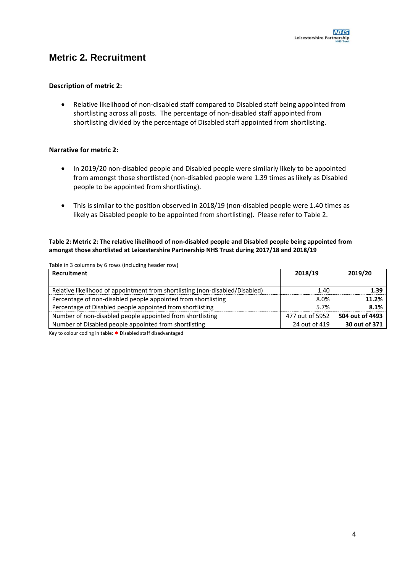## **Metric 2. Recruitment**

#### **Description of metric 2:**

 Relative likelihood of non-disabled staff compared to Disabled staff being appointed from shortlisting across all posts. The percentage of non-disabled staff appointed from shortlisting divided by the percentage of Disabled staff appointed from shortlisting.

#### **Narrative for metric 2:**

- In 2019/20 non-disabled people and Disabled people were similarly likely to be appointed from amongst those shortlisted (non-disabled people were 1.39 times as likely as Disabled people to be appointed from shortlisting).
- This is similar to the position observed in 2018/19 (non-disabled people were 1.40 times as likely as Disabled people to be appointed from shortlisting). Please refer to [Table 2.](#page-4-0)

#### <span id="page-4-0"></span>**Table 2: Metric 2: The relative likelihood of non-disabled people and Disabled people being appointed from amongst those shortlisted at Leicestershire Partnership NHS Trust during 2017/18 and 2018/19**

Table in 3 columns by 6 rows (including header row)

| Recruitment                                                                  | 2018/19         | 2019/20         |
|------------------------------------------------------------------------------|-----------------|-----------------|
| Relative likelihood of appointment from shortlisting (non-disabled/Disabled) | 1.40            | 1.39            |
| Percentage of non-disabled people appointed from shortlisting                | 8.0%            | 11.2%           |
| Percentage of Disabled people appointed from shortlisting                    | 5.7%            | 8.1%            |
| Number of non-disabled people appointed from shortlisting                    | 477 out of 5952 | 504 out of 4493 |
| Number of Disabled people appointed from shortlisting                        | 24 out of 419   | 30 out of 371   |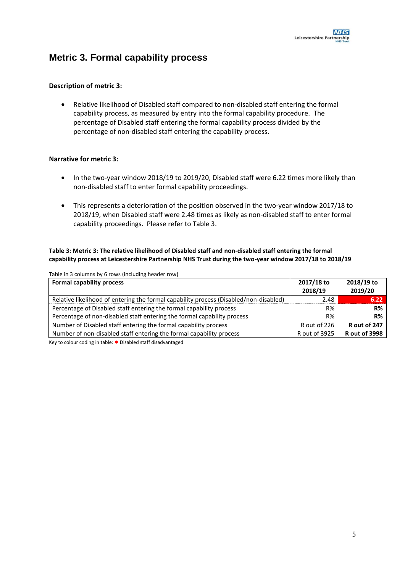## **Metric 3. Formal capability process**

#### **Description of metric 3:**

 Relative likelihood of Disabled staff compared to non-disabled staff entering the formal capability process, as measured by entry into the formal capability procedure. The percentage of Disabled staff entering the formal capability process divided by the percentage of non-disabled staff entering the capability process.

#### **Narrative for metric 3:**

- In the two-year window 2018/19 to 2019/20, Disabled staff were 6.22 times more likely than non-disabled staff to enter formal capability proceedings.
- This represents a deterioration of the position observed in the two-year window 2017/18 to 2018/19, when Disabled staff were 2.48 times as likely as non-disabled staff to enter formal capability proceedings. Please refer to [Table 3.](#page-5-0)

#### <span id="page-5-0"></span>**Table 3: Metric 3: The relative likelihood of Disabled staff and non-disabled staff entering the formal capability process at Leicestershire Partnership NHS Trust during the two-year window 2017/18 to 2018/19**

| Table in 3 columns by 6 rows (including header row)                                   |                       |                       |
|---------------------------------------------------------------------------------------|-----------------------|-----------------------|
| <b>Formal capability process</b>                                                      | 2017/18 to<br>2018/19 | 2018/19 to<br>2019/20 |
| Relative likelihood of entering the formal capability process (Disabled/non-disabled) | 2.48                  | 6.22                  |
| Percentage of Disabled staff entering the formal capability process                   | R%                    | R%                    |
| Percentage of non-disabled staff entering the formal capability process               | R%                    | R%                    |
| Number of Disabled staff entering the formal capability process                       | R out of 226          | R out of 247          |
| Number of non-disabled staff entering the formal capability process                   | R out of 3925         | <b>Rout of 3998</b>   |
|                                                                                       |                       |                       |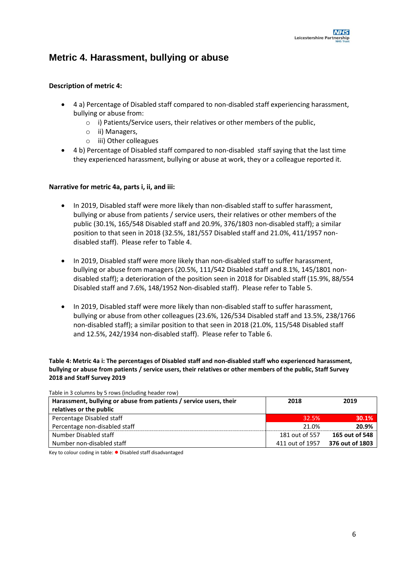## **Metric 4. Harassment, bullying or abuse**

#### **Description of metric 4:**

- 4 a) Percentage of Disabled staff compared to non-disabled staff experiencing harassment, bullying or abuse from:
	- o i) Patients/Service users, their relatives or other members of the public,
	- o ii) Managers,
	- o iii) Other colleagues
- 4 b) Percentage of Disabled staff compared to non-disabled staff saying that the last time they experienced harassment, bullying or abuse at work, they or a colleague reported it.

#### **Narrative for metric 4a, parts i, ii, and iii:**

- In 2019, Disabled staff were more likely than non-disabled staff to suffer harassment, bullying or abuse from patients / service users, their relatives or other members of the public (30.1%, 165/548 Disabled staff and 20.9%, 376/1803 non-disabled staff); a similar position to that seen in 2018 (32.5%, 181/557 Disabled staff and 21.0%, 411/1957 nondisabled staff). Please refer t[o Table 4.](#page-6-0)
- In 2019, Disabled staff were more likely than non-disabled staff to suffer harassment, bullying or abuse from managers (20.5%, 111/542 Disabled staff and 8.1%, 145/1801 nondisabled staff); a deterioration of the position seen in 2018 for Disabled staff (15.9%, 88/554 Disabled staff and 7.6%, 148/1952 Non-disabled staff). Please refer to [Table 5.](#page-7-0)
- In 2019, Disabled staff were more likely than non-disabled staff to suffer harassment, bullying or abuse from other colleagues (23.6%, 126/534 Disabled staff and 13.5%, 238/1766 non-disabled staff); a similar position to that seen in 2018 (21.0%, 115/548 Disabled staff and 12.5%, 242/1934 non-disabled staff). Please refer to [Table 6.](#page-7-1)

<span id="page-6-0"></span>**Table 4: Metric 4a i: The percentages of Disabled staff and non-disabled staff who experienced harassment, bullying or abuse from patients / service users, their relatives or other members of the public, Staff Survey 2018 and Staff Survey 2019**

| Table in 3 columns by 5 rows (including header row)                |                 |                 |
|--------------------------------------------------------------------|-----------------|-----------------|
| Harassment, bullying or abuse from patients / service users, their | 2018            | 2019            |
| relatives or the public                                            |                 |                 |
| Percentage Disabled staff                                          | 32.5%           | 30.1%           |
| Percentage non-disabled staff                                      | 21.0%           | 20.9%           |
| Number Disabled staff                                              | 181 out of 557  | 165 out of 548  |
| Number non-disabled staff                                          | 411 out of 1957 | 376 out of 1803 |

Table in 3 columns by 5 rows (including header row)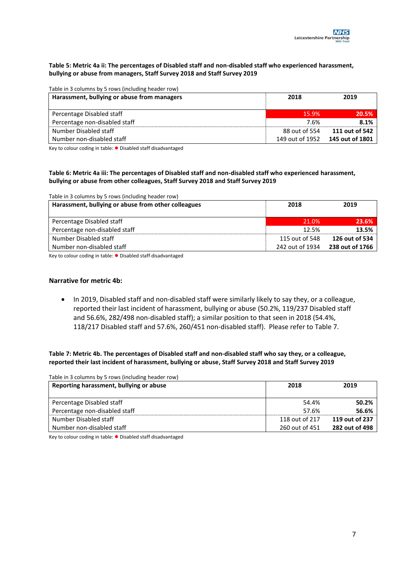#### <span id="page-7-0"></span>**Table 5: Metric 4a ii: The percentages of Disabled staff and non-disabled staff who experienced harassment, bullying or abuse from managers, Staff Survey 2018 and Staff Survey 2019**

| Table in 3 columns by 5 rows (including header row) |                 |                 |  |
|-----------------------------------------------------|-----------------|-----------------|--|
| Harassment, bullying or abuse from managers         | 2018            | 2019            |  |
|                                                     |                 |                 |  |
| Percentage Disabled staff                           | 15.9%           | 20.5%           |  |
| Percentage non-disabled staff                       | 7.6%            | 8.1%            |  |
| Number Disabled staff                               | 88 out of 554   | 111 out of 542  |  |
| Number non-disabled staff                           | 149 out of 1952 | 145 out of 1801 |  |

Key to colour coding in table: ● Disabled staff disadvantaged

#### <span id="page-7-1"></span>**Table 6: Metric 4a iii: The percentages of Disabled staff and non-disabled staff who experienced harassment, bullying or abuse from other colleagues, Staff Survey 2018 and Staff Survey 2019**

| Harassment, bullying or abuse from other colleagues | 2018            | 2019            |
|-----------------------------------------------------|-----------------|-----------------|
|                                                     |                 |                 |
| Percentage Disabled staff                           | 21.0%           | 23.6%           |
| Percentage non-disabled staff                       | 12.5%           | 13.5%           |
| Number Disabled staff                               | 115 out of 548  | 126 out of 534  |
| Number non-disabled staff                           | 242 out of 1934 | 238 out of 1766 |

Key to colour coding in table: ● Disabled staff disadvantaged

#### **Narrative for metric 4b:**

• In 2019, Disabled staff and non-disabled staff were similarly likely to say they, or a colleague, reported their last incident of harassment, bullying or abuse (50.2%, 119/237 Disabled staff and 56.6%, 282/498 non-disabled staff); a similar position to that seen in 2018 (54.4%, 118/217 Disabled staff and 57.6%, 260/451 non-disabled staff). Please refer to [Table 7.](#page-7-2)

<span id="page-7-2"></span>**Table 7: Metric 4b. The percentages of Disabled staff and non-disabled staff who say they, or a colleague, reported their last incident of harassment, bullying or abuse, Staff Survey 2018 and Staff Survey 2019**

| Table in 3 columns by 5 rows (including header row) |                |                |
|-----------------------------------------------------|----------------|----------------|
| Reporting harassment, bullying or abuse             | 2018           | 2019           |
| Percentage Disabled staff                           | 54.4%          | 50.2%          |
| Percentage non-disabled staff                       | 57.6%          | 56.6%          |
| Number Disabled staff                               | 118 out of 217 | 119 out of 237 |
| Number non-disabled staff                           | 260 out of 451 | 282 out of 498 |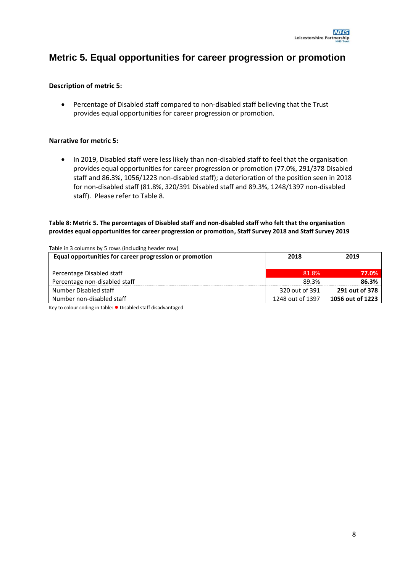### **Metric 5. Equal opportunities for career progression or promotion**

#### **Description of metric 5:**

 Percentage of Disabled staff compared to non-disabled staff believing that the Trust provides equal opportunities for career progression or promotion.

#### **Narrative for metric 5:**

• In 2019, Disabled staff were less likely than non-disabled staff to feel that the organisation provides equal opportunities for career progression or promotion (77.0%, 291/378 Disabled staff and 86.3%, 1056/1223 non-disabled staff); a deterioration of the position seen in 2018 for non-disabled staff (81.8%, 320/391 Disabled staff and 89.3%, 1248/1397 non-disabled staff). Please refer t[o Table 8.](#page-8-0)

#### <span id="page-8-0"></span>**Table 8: Metric 5. The percentages of Disabled staff and non-disabled staff who felt that the organisation provides equal opportunities for career progression or promotion, Staff Survey 2018 and Staff Survey 2019**

| Table in 3 columns by 5 rows (including header row)     |                  |                  |  |
|---------------------------------------------------------|------------------|------------------|--|
| Equal opportunities for career progression or promotion | 2018             | 2019             |  |
|                                                         |                  |                  |  |
| Percentage Disabled staff                               | 81.8%            | 77.0%            |  |
| Percentage non-disabled staff                           | 89.3%            | 86.3%            |  |
| Number Disabled staff                                   | 320 out of 391   | 291 out of 378   |  |
| Number non-disabled staff                               | 1248 out of 1397 | 1056 out of 1223 |  |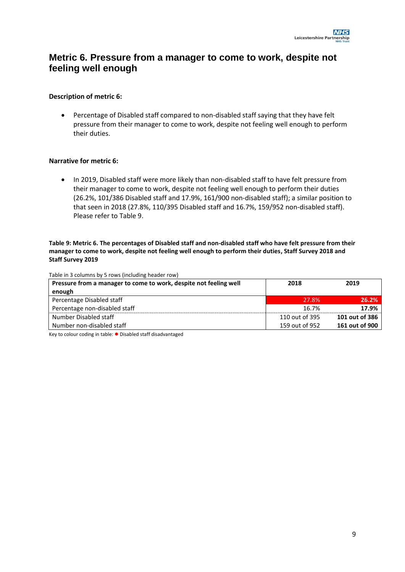## **Metric 6. Pressure from a manager to come to work, despite not feeling well enough**

#### **Description of metric 6:**

 Percentage of Disabled staff compared to non-disabled staff saying that they have felt pressure from their manager to come to work, despite not feeling well enough to perform their duties.

#### **Narrative for metric 6:**

 In 2019, Disabled staff were more likely than non-disabled staff to have felt pressure from their manager to come to work, despite not feeling well enough to perform their duties (26.2%, 101/386 Disabled staff and 17.9%, 161/900 non-disabled staff); a similar position to that seen in 2018 (27.8%, 110/395 Disabled staff and 16.7%, 159/952 non-disabled staff). Please refer t[o Table 9.](#page-9-0)

<span id="page-9-0"></span>**Table 9: Metric 6. The percentages of Disabled staff and non-disabled staff who have felt pressure from their manager to come to work, despite not feeling well enough to perform their duties, Staff Survey 2018 and Staff Survey 2019**

| Table in 3 columns by 5 rows (including header row)               |                |                |
|-------------------------------------------------------------------|----------------|----------------|
| Pressure from a manager to come to work, despite not feeling well | 2018           | 2019           |
| enough                                                            |                |                |
| Percentage Disabled staff                                         | 27.8%          | 26.2%          |
| Percentage non-disabled staff                                     | 16.7%          | 17.9%          |
| Number Disabled staff                                             | 110 out of 395 | 101 out of 386 |
| Number non-disabled staff                                         | 159 out of 952 | 161 out of 900 |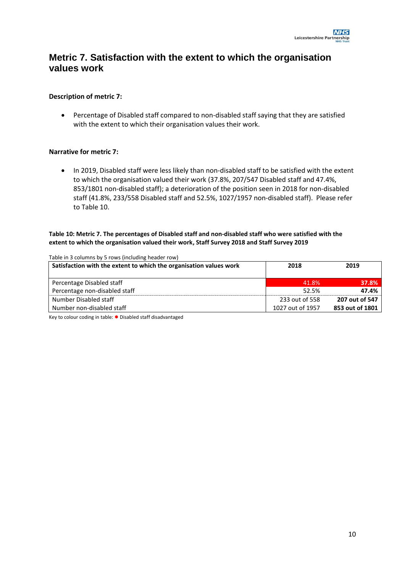## **Metric 7. Satisfaction with the extent to which the organisation values work**

#### **Description of metric 7:**

 Percentage of Disabled staff compared to non-disabled staff saying that they are satisfied with the extent to which their organisation values their work.

#### **Narrative for metric 7:**

 In 2019, Disabled staff were less likely than non-disabled staff to be satisfied with the extent to which the organisation valued their work (37.8%, 207/547 Disabled staff and 47.4%, 853/1801 non-disabled staff); a deterioration of the position seen in 2018 for non-disabled staff (41.8%, 233/558 Disabled staff and 52.5%, 1027/1957 non-disabled staff). Please refer to [Table 10.](#page-10-0)

#### <span id="page-10-0"></span>**Table 10: Metric 7. The percentages of Disabled staff and non-disabled staff who were satisfied with the extent to which the organisation valued their work, Staff Survey 2018 and Staff Survey 2019**

| Table in 3 columns by 5 rows (including header row)                |                  |                 |  |
|--------------------------------------------------------------------|------------------|-----------------|--|
| Satisfaction with the extent to which the organisation values work | 2018             | 2019            |  |
|                                                                    |                  |                 |  |
| Percentage Disabled staff                                          | 41.8%            | 37.8%           |  |
| Percentage non-disabled staff                                      | 52.5%            | 47.4%           |  |
| Number Disabled staff                                              | 233 out of 558   | 207 out of 547  |  |
| Number non-disabled staff                                          | 1027 out of 1957 | 853 out of 1801 |  |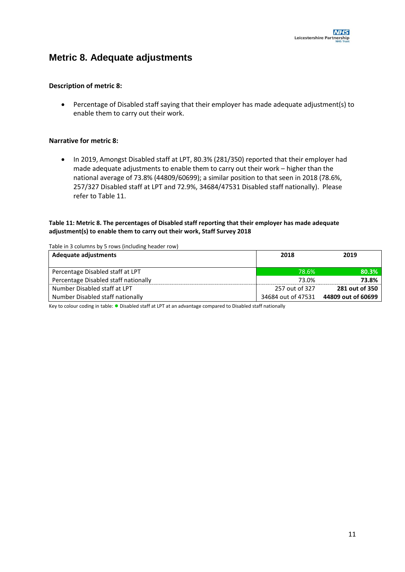## **Metric 8. Adequate adjustments**

#### **Description of metric 8:**

 Percentage of Disabled staff saying that their employer has made adequate adjustment(s) to enable them to carry out their work.

#### **Narrative for metric 8:**

• In 2019, Amongst Disabled staff at LPT, 80.3% (281/350) reported that their employer had made adequate adjustments to enable them to carry out their work – higher than the national average of 73.8% (44809/60699); a similar position to that seen in 2018 (78.6%, 257/327 Disabled staff at LPT and 72.9%, 34684/47531 Disabled staff nationally). Please refer t[o Table 11.](#page-11-0)

#### <span id="page-11-0"></span>**Table 11: Metric 8. The percentages of Disabled staff reporting that their employer has made adequate adjustment(s) to enable them to carry out their work, Staff Survey 2018**

Table in 3 columns by 5 rows (including header row)

| Adequate adjustments                 | 2018               | 2019               |
|--------------------------------------|--------------------|--------------------|
|                                      |                    |                    |
| Percentage Disabled staff at LPT     | 78.6%              | 80.3%              |
| Percentage Disabled staff nationally | 73.0%              | 73.8%              |
| Number Disabled staff at LPT         | 257 out of 327     | 281 out of 350     |
| Number Disabled staff nationally     | 34684 out of 47531 | 44809 out of 60699 |

Key to colour coding in table: ● Disabled staff at LPT at an advantage compared to Disabled staff nationally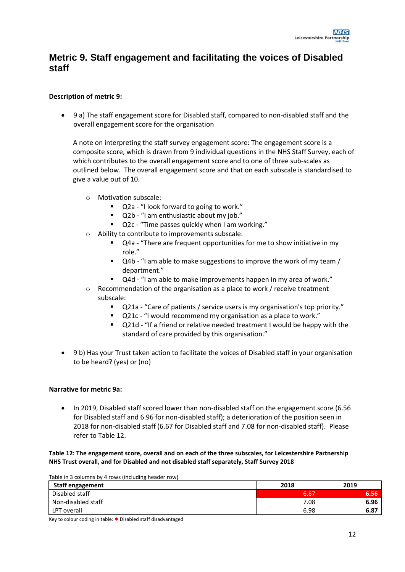## **Metric 9. Staff engagement and facilitating the voices of Disabled staff**

#### **Description of metric 9:**

 9 a) The staff engagement score for Disabled staff, compared to non-disabled staff and the overall engagement score for the organisation

A note on interpreting the staff survey engagement score: The engagement score is a composite score, which is drawn from 9 individual questions in the NHS Staff Survey, each of which contributes to the overall engagement score and to one of three sub-scales as outlined below. The overall engagement score and that on each subscale is standardised to give a value out of 10.

- o Motivation subscale:
	- Q2a "I look forward to going to work."
	- Q2b "I am enthusiastic about my job."
	- Q2c "Time passes quickly when I am working."
- Ability to contribute to improvements subscale:
	- Q4a "There are frequent opportunities for me to show initiative in my role."
	- Q4b "I am able to make suggestions to improve the work of my team / department."
	- Q4d "I am able to make improvements happen in my area of work."
- o Recommendation of the organisation as a place to work / receive treatment subscale:
	- Q21a "Care of patients / service users is my organisation's top priority."
	- Q21c "I would recommend my organisation as a place to work."
	- Q21d "If a friend or relative needed treatment I would be happy with the standard of care provided by this organisation."
- 9 b) Has your Trust taken action to facilitate the voices of Disabled staff in your organisation to be heard? (yes) or (no)

#### **Narrative for metric 9a:**

 In 2019, Disabled staff scored lower than non-disabled staff on the engagement score (6.56 for Disabled staff and 6.96 for non-disabled staff); a deterioration of the position seen in 2018 for non-disabled staff (6.67 for Disabled staff and 7.08 for non-disabled staff). Please refer t[o Table 12.](#page-12-0)

#### <span id="page-12-0"></span>**Table 12: The engagement score, overall and on each of the three subscales, for Leicestershire Partnership NHS Trust overall, and for Disabled and not disabled staff separately, Staff Survey 2018**

Table in 3 columns by 4 rows (including header row)

| <b>Staff engagement</b> | 2018 | 2019 |
|-------------------------|------|------|
| Disabled staff          | 6.67 | 6.56 |
| Non-disabled staff      | 7.08 | 6.96 |
| LPT overall             | 6.98 | 6.87 |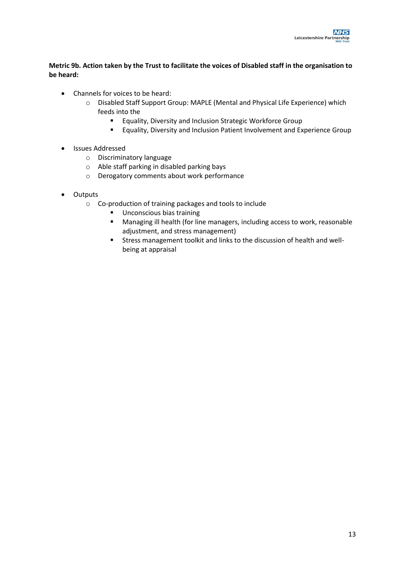#### **Metric 9b. Action taken by the Trust to facilitate the voices of Disabled staff in the organisation to be heard:**

- Channels for voices to be heard:
	- o Disabled Staff Support Group: MAPLE (Mental and Physical Life Experience) which feeds into the
		- **Equality, Diversity and Inclusion Strategic Workforce Group**
		- **Equality, Diversity and Inclusion Patient Involvement and Experience Group**
- Issues Addressed
	- o Discriminatory language
	- o Able staff parking in disabled parking bays
	- o Derogatory comments about work performance
- Outputs
	- o Co-production of training packages and tools to include
		- **Unconscious bias training**
		- Managing ill health (for line managers, including access to work, reasonable adjustment, and stress management)
		- Stress management toolkit and links to the discussion of health and wellbeing at appraisal